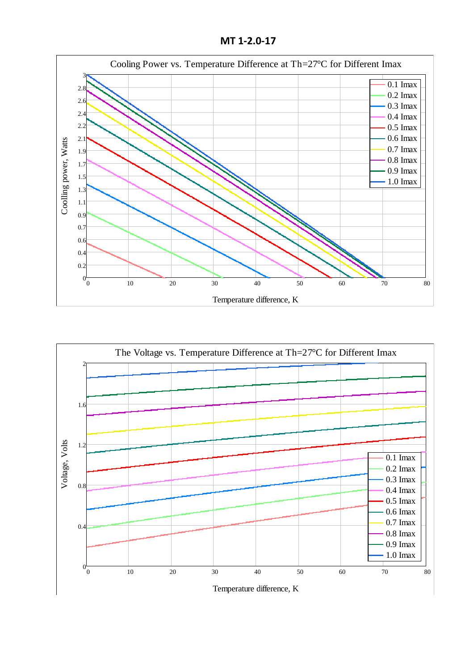**MT 1-2.0-17**